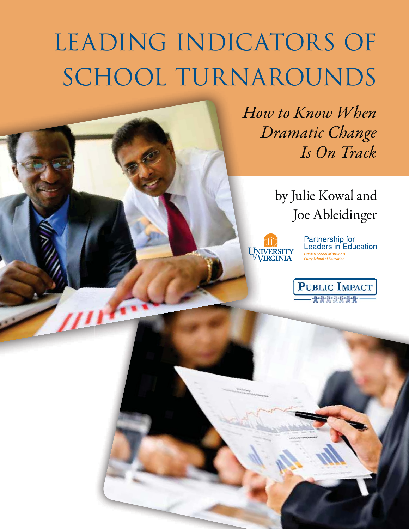# leading indicators of school turnarounds

How to Know When Dramatic Change Is On Track

# by Julie Kowal and Joe Ableidinger



Partnership for<br>Leaders in Education **Darden School of Business Curry School of Education** 

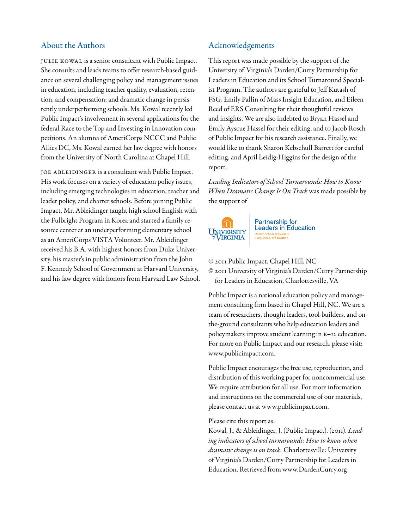#### About the Authors

Julie Kowal is a senior consultant with Public Impact. She consults and leads teams to offer research-based guidance on several challenging policy and management issues in education, including teacher quality, evaluation, retention, and compensation; and dramatic change in persistently underperforming schools. Ms. Kowal recently led Public Impact's involvement in several applications for the federal Race to the Top and Investing in Innovation competitions. An alumna of AmeriCorps NCCC and Public Allies DC, Ms. Kowal earned her law degree with honors from the University of North Carolina at Chapel Hill.

Joe Ableidinger is a consultant with Public Impact. His work focuses on a variety of education policy issues, including emerging technologies in education, teacher and leader policy, and charter schools. Before joining Public Impact, Mr. Ableidinger taught high school English with the Fulbright Program in Korea and started a family resource center at an underperforming elementary school as an AmeriCorps VISTA Volunteer. Mr. Ableidinger received his B.A. with highest honors from Duke University, his master's in public administration from the John F. Kennedy School of Government at Harvard University, and his law degree with honors from Harvard Law School.

#### Acknowledgements

This report was made possible by the support of the University of Virginia's Darden/Curry Partnership for Leaders in Education and its School Turnaround Specialist Program. The authors are grateful to Jeff Kutash of FSG, Emily Pallin of Mass Insight Education, and Eileen Reed of ERS Consulting for their thoughtful reviews and insights. We are also indebted to Bryan Hassel and Emily Ayscue Hassel for their editing, and to Jacob Rosch of Public Impact for his research assistance. Finally, we would like to thank Sharon Kebschull Barrett for careful editing, and April Leidig-Higgins for the design of the report.

Leading Indicators of School Turnarounds: How to Know When Dramatic Change Is On Track was made possible by the support of



Partnership for<br>Leaders in Education

© 2011 Public Impact, Chapel Hill, NC

© 2011 University of Virginia's Darden/Curry Partnership for Leaders in Education, Charlottesville, VA

Public Impact is a national education policy and management consulting firm based in Chapel Hill, NC. We are a team of researchers, thought leaders, tool-builders, and onthe-ground consultants who help education leaders and policymakers improve student learning in K–12 education. For more on Public Impact and our research, please visit: www.publicimpact.com.

Public Impact encourages the free use, reproduction, and distribution of this working paper for noncommercial use. We require attribution for all use. For more information and instructions on the commercial use of our materials, please contact us at www.publicimpact.com.

#### Please cite this report as:

Kowal, J., & Ableidinger, J. (Public Impact). (2011). Leading indicators of school turnarounds: How to know when dramatic change is on track. Charlottesville: University of Virginia's Darden/Curry Partnership for Leaders in Education. Retrieved from www.DardenCurry.org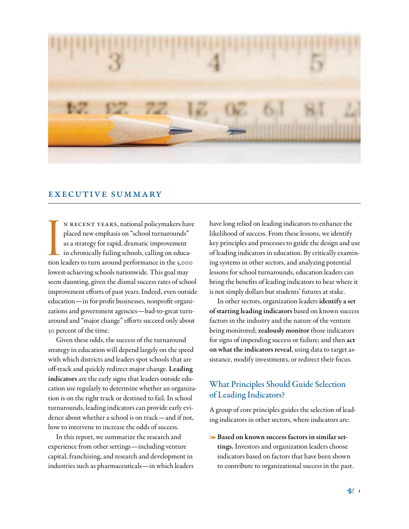

#### Executive Summary

 I n recent years, national policymakers have placed new emphasis on "school turnarounds" as a strategy for rapid, dramatic improvement in chronically failing schools, calling on education leaders to turn around performance in the 5,000 lowest-achieving schools nationwide. This goal may seem daunting, given the dismal success rates of school improvement efforts of past years. Indeed, even outside education — in for-profit businesses, nonprofit organizations and government agencies — bad-to-great turnaround and "major change" efforts succeed only about 30 percent of the time.

Given these odds, the success of the turnaround strategy in education will depend largely on the speed with which districts and leaders spot schools that are off-track and quickly redirect major change. **Leading indicators** are the early signs that leaders outside education use regularly to determine whether an organization is on the right track or destined to fail. In school turnarounds, leading indicators can provide early evidence about whether a school is on track — and if not, how to intervene to increase the odds of success.

In this report, we summarize the research and experience from other settings — including venture capital, franchising, and research and development in industries such as pharmaceuticals — in which leaders have long relied on leading indicators to enhance the likelihood of success. From these lessons, we identify key principles and processes to guide the design and use of leading indicators in education. By critically examining systems in other sectors, and analyzing potential lessons for school turnarounds, education leaders can bring the benefits of leading indicators to bear where it is not simply dollars but students' futures at stake.

In other sectors, organization leaders **identify a set of starting leading indicators** based on known success factors in the industry and the nature of the venture being monitored; **zealously monitor** those indicators for signs of impending success or failure; and then **act on what the indicators reveal**, using data to target assistance, modify investments, or redirect their focus.

# What Principles Should Guide Selection of Leading Indicators?

A group of core principles guides the selection of leading indicators in other sectors, where indicators are:

**Based on known success factors in similar settings.** Investors and organization leaders choose indicators based on factors that have been shown to contribute to organizational success in the past.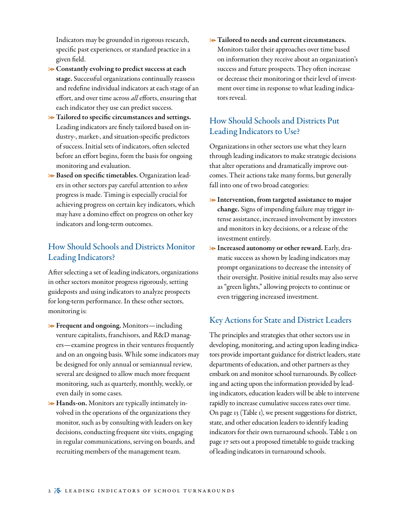Indicators may be grounded in rigorous research, specific past experiences, or standard practice in a given field.

- **So-** Constantly evolving to predict success at each **stage.** Successful organizations continually reassess and redefine individual indicators at each stage of an effort, and over time across all efforts, ensuring that each indicator they use can predict success.
- **So** Tailored to specific circumstances and settings. Leading indicators are finely tailored based on industry-, market-, and situation-specific predictors of success. Initial sets of indicators, often selected before an effort begins, form the basis for ongoing monitoring and evaluation.
- **Based on specific timetables.** Organization leaders in other sectors pay careful attention to when progress is made. Timing is especially crucial for achieving progress on certain key indicators, which may have a domino effect on progress on other key indicators and long-term outcomes.

# How Should Schools and Districts Monitor Leading Indicators?

After selecting a set of leading indicators, organizations in other sectors monitor progress rigorously, setting guideposts and using indicators to analyze prospects for long-term performance. In these other sectors, monitoring is:

- **SC** Frequent and ongoing. Monitors-including venture capitalists, franchisors, and R&D managers — examine progress in their ventures frequently and on an ongoing basis. While some indicators may be designed for only annual or semiannual review, several are designed to allow much more frequent monitoring, such as quarterly, monthly, weekly, or even daily in some cases.
- **Hands-on.** Monitors are typically intimately involved in the operations of the organizations they monitor, such as by consulting with leaders on key decisions, conducting frequent site visits, engaging in regular communications, serving on boards, and recruiting members of the management team.

**So-** Tailored to needs and current circumstances. Monitors tailor their approaches over time based on information they receive about an organization's success and future prospects. They often increase or decrease their monitoring or their level of investment over time in response to what leading indicators reveal.

# How Should Schools and Districts Put Leading Indicators to Use?

Organizations in other sectors use what they learn through leading indicators to make strategic decisions that alter operations and dramatically improve outcomes. Their actions take many forms, but generally fall into one of two broad categories:

- **Intervention, from targeted assistance to major change.** Signs of impending failure may trigger intense assistance, increased involvement by investors and monitors in key decisions, or a release of the investment entirely.
- **Increased autonomy or other reward.** Early, dramatic success as shown by leading indicators may prompt organizations to decrease the intensity of their oversight. Positive initial results may also serve as "green lights," allowing projects to continue or even triggering increased investment.

### Key Actions for State and District Leaders

The principles and strategies that other sectors use in developing, monitoring, and acting upon leading indicators provide important guidance for district leaders, state departments of education, and other partners as they embark on and monitor school turnarounds. By collecting and acting upon the information provided by leading indicators, education leaders will be able to intervene rapidly to increase cumulative success rates over time. On page 13 (Table 1), we present suggestions for district, state, and other education leaders to identify leading indicators for their own turnaround schools. Table 2 on page 17 sets out a proposed timetable to guide tracking of leading indicators in turnaround schools.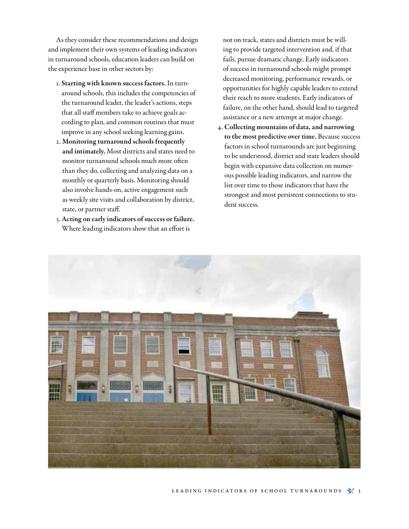As they consider these recommendations and design and implement their own systems of leading indicators in turnaround schools, education leaders can build on the experience base in other sectors by:

- 1. **Starting with known success factors.** In turnaround schools, this includes the competencies of the turnaround leader, the leader's actions, steps that all staff members take to achieve goals according to plan, and common routines that must improve in any school seeking learning gains.
- 2. **Monitoring turnaround schools frequently and intimately.** Most districts and states need to monitor turnaround schools much more often than they do, collecting and analyzing data on a monthly or quarterly basis. Monitoring should also involve hands-on, active engagement such as weekly site visits and collaboration by district, state, or partner staff.
- 3. **Acting on early indicators of success or failure.**  Where leading indicators show that an effort is

not on track, states and districts must be willing to provide targeted intervention and, if that fails, pursue dramatic change. Early indicators of success in turnaround schools might prompt decreased monitoring, performance rewards, or opportunities for highly capable leaders to extend their reach to more students. Early indicators of failure, on the other hand, should lead to targeted assistance or a new attempt at major change.

4. **Collecting mountains of data, and narrowing to the most predictive over time.** Because success factors in school turnarounds are just beginning to be understood, district and state leaders should begin with expansive data collection on numerous possible leading indicators, and narrow the list over time to those indicators that have the strongest and most persistent connections to student success.

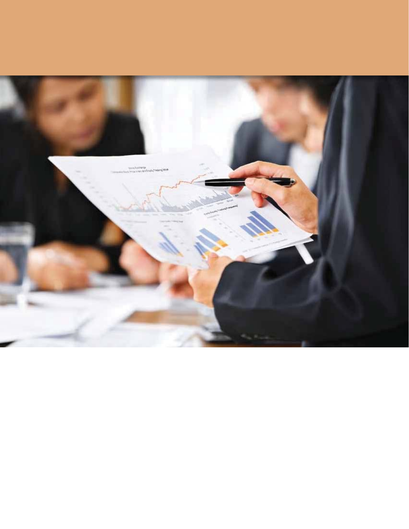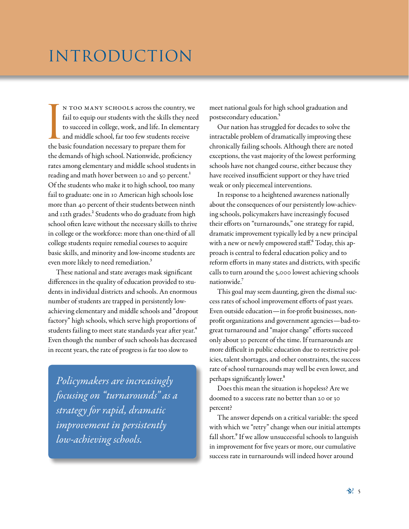$\begin{bmatrix} 1 \\ 1 \\ 1 \\ 2 \end{bmatrix}$ n too many schools across the country, we fail to equip our students with the skills they need to succeed in college, work, and life. In elementary and middle school, far too few students receive the basic foundation necessary to prepare them for the demands of high school. Nationwide, proficiency rates among elementary and middle school students in reading and math hover between 20 and 50 percent.<sup>1</sup> Of the students who make it to high school, too many fail to graduate: one in 10 American high schools lose more than 40 percent of their students between ninth and 12th grades.<sup>2</sup> Students who do graduate from high school often leave without the necessary skills to thrive in college or the workforce: more than one-third of all college students require remedial courses to acquire basic skills, and minority and low-income students are even more likely to need remediation.<sup>3</sup>

These national and state averages mask significant differences in the quality of education provided to students in individual districts and schools. An enormous number of students are trapped in persistently lowachieving elementary and middle schools and "dropout factory" high schools, which serve high proportions of students failing to meet state standards year after year.<sup>4</sup> Even though the number of such schools has decreased in recent years, the rate of progress is far too slow to

Policymakers are increasingly focusing on "turnarounds" as a strategy for rapid, dramatic improvement in persistently low-achieving schools.

meet national goals for high school graduation and postsecondary education.5

Our nation has struggled for decades to solve the intractable problem of dramatically improving these chronically failing schools. Although there are noted exceptions, the vast majority of the lowest performing schools have not changed course, either because they have received insufficient support or they have tried weak or only piecemeal interventions.

In response to a heightened awareness nationally about the consequences of our persistently low-achieving schools, policymakers have increasingly focused their efforts on "turnarounds," one strategy for rapid, dramatic improvement typically led by a new principal with a new or newly empowered staff. Today, this approach is central to federal education policy and to reform efforts in many states and districts, with specific calls to turn around the 5,000 lowest achieving schools nationwide.7

This goal may seem daunting, given the dismal success rates of school improvement efforts of past years. Even outside education — in for-profit businesses, nonprofit organizations and government agencies — bad-togreat turnaround and "major change" efforts succeed only about 30 percent of the time. If turnarounds are more difficult in public education due to restrictive policies, talent shortages, and other constraints, the success rate of school turnarounds may well be even lower, and perhaps significantly lower.<sup>8</sup>

Does this mean the situation is hopeless? Are we doomed to a success rate no better than 20 or 30 percent?

The answer depends on a critical variable: the speed with which we "retry" change when our initial attempts fall short.<sup>9</sup> If we allow unsuccessful schools to languish in improvement for five years or more, our cumulative success rate in turnarounds will indeed hover around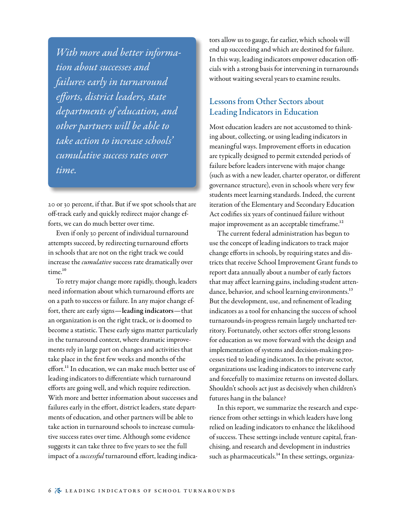With more and better information about successes and failures early in turnaround efforts, district leaders, state departments of education, and other partners will be able to take action to increase schools' cumulative success rates over time.

20 or 30 percent, if that. But if we spot schools that are off-track early and quickly redirect major change efforts, we can do much better over time.

Even if only 30 percent of individual turnaround attempts succeed, by redirecting turnaround efforts in schools that are not on the right track we could increase the cumulative success rate dramatically over time<sup>10</sup>

To retry major change more rapidly, though, leaders need information about which turnaround efforts are on a path to success or failure. In any major change effort, there are early signs — **leading indicators** — that an organization is on the right track, or is doomed to become a statistic. These early signs matter particularly in the turnaround context, where dramatic improvements rely in large part on changes and activities that take place in the first few weeks and months of the effort.<sup>11</sup> In education, we can make much better use of leading indicators to differentiate which turnaround efforts are going well, and which require redirection. With more and better information about successes and failures early in the effort, district leaders, state departments of education, and other partners will be able to take action in turnaround schools to increase cumulative success rates over time. Although some evidence suggests it can take three to five years to see the full impact of a successful turnaround effort, leading indicators allow us to gauge, far earlier, which schools will end up succeeding and which are destined for failure. In this way, leading indicators empower education officials with a strong basis for intervening in turnarounds without waiting several years to examine results.

# Lessons from Other Sectors about Leading Indicators in Education

Most education leaders are not accustomed to thinking about, collecting, or using leading indicators in meaningful ways. Improvement efforts in education are typically designed to permit extended periods of failure before leaders intervene with major change (such as with a new leader, charter operator, or different governance structure), even in schools where very few students meet learning standards. Indeed, the current iteration of the Elementary and Secondary Education Act codifies six years of continued failure without major improvement as an acceptable timeframe.<sup>12</sup>

The current federal administration has begun to use the concept of leading indicators to track major change efforts in schools, by requiring states and districts that receive School Improvement Grant funds to report data annually about a number of early factors that may affect learning gains, including student attendance, behavior, and school learning environments.<sup>13</sup> But the development, use, and refinement of leading indicators as a tool for enhancing the success of school turnarounds-in-progress remain largely uncharted territory. Fortunately, other sectors offer strong lessons for education as we move forward with the design and implementation of systems and decision-making processes tied to leading indicators. In the private sector, organizations use leading indicators to intervene early and forcefully to maximize returns on invested dollars. Shouldn't schools act just as decisively when children's futures hang in the balance?

In this report, we summarize the research and experience from other settings in which leaders have long relied on leading indicators to enhance the likelihood of success. These settings include venture capital, franchising, and research and development in industries such as pharmaceuticals.<sup>14</sup> In these settings, organiza-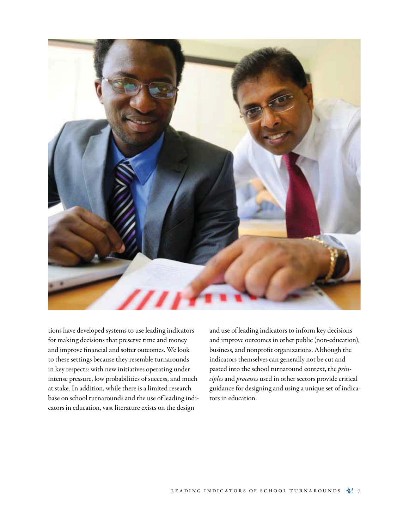

tions have developed systems to use leading indicators for making decisions that preserve time and money and improve financial and softer outcomes. We look to these settings because they resemble turnarounds in key respects: with new initiatives operating under intense pressure, low probabilities of success, and much at stake. In addition, while there is a limited research base on school turnarounds and the use of leading indicators in education, vast literature exists on the design

and use of leading indicators to inform key decisions and improve outcomes in other public (non-education), business, and nonprofit organizations. Although the indicators themselves can generally not be cut and pasted into the school turnaround context, the principles and processes used in other sectors provide critical guidance for designing and using a unique set of indicators in education.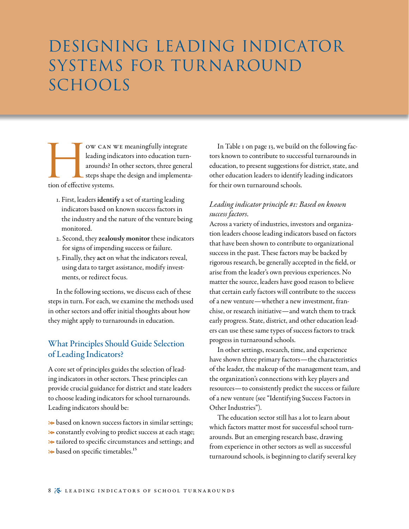# Designing Leading Indicator Systems for Turnaround Schools

NOW CAN WE meaningfully integrate<br>leading indicators into education turn<br>arounds? In other sectors, three generations of the design and implements leading indicators into education turnarounds? In other sectors, three general steps shape the design and implementation of effective systems.

- 1. First, leaders **identify** a set of starting leading indicators based on known success factors in the industry and the nature of the venture being monitored.
- 2. Second, they **zealously monitor** these indicators for signs of impending success or failure.
- 3. Finally, they **act** on what the indicators reveal, using data to target assistance, modify investments, or redirect focus.

In the following sections, we discuss each of these steps in turn. For each, we examine the methods used in other sectors and offer initial thoughts about how they might apply to turnarounds in education.

# What Principles Should Guide Selection of Leading Indicators?

A core set of principles guides the selection of leading indicators in other sectors. These principles can provide crucial guidance for district and state leaders to choose leading indicators for school turnarounds. Leading indicators should be:

- **based on known success factors in similar settings;**
- **so** constantly evolving to predict success at each stage;
- **So** tailored to specific circumstances and settings; and
- **Sc** based on specific timetables.<sup>15</sup>

In Table 1 on page 13, we build on the following factors known to contribute to successful turnarounds in education, to present suggestions for district, state, and other education leaders to identify leading indicators for their own turnaround schools.

#### Leading indicator principle #1: Based on known success factors.

Across a variety of industries, investors and organization leaders choose leading indicators based on factors that have been shown to contribute to organizational success in the past. These factors may be backed by rigorous research, be generally accepted in the field, or arise from the leader's own previous experiences. No matter the source, leaders have good reason to believe that certain early factors will contribute to the success of a new venture — whether a new investment, franchise, or research initiative — and watch them to track early progress. State, district, and other education leaders can use these same types of success factors to track progress in turnaround schools.

In other settings, research, time, and experience have shown three primary factors — the characteristics of the leader, the makeup of the management team, and the organization's connections with key players and resources — to consistently predict the success or failure of a new venture (see "Identifying Success Factors in Other Industries").

The education sector still has a lot to learn about which factors matter most for successful school turnarounds. But an emerging research base, drawing from experience in other sectors as well as successful turnaround schools, is beginning to clarify several key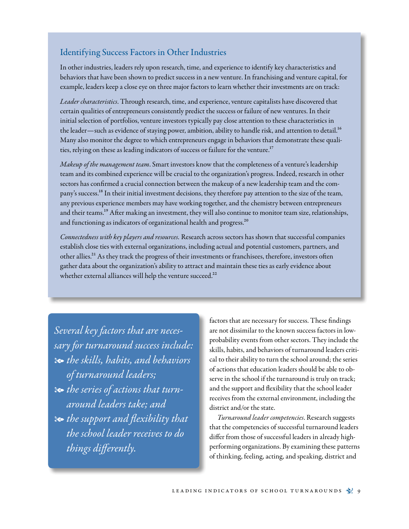# Identifying Success Factors in Other Industries

In other industries, leaders rely upon research, time, and experience to identify key characteristics and behaviors that have been shown to predict success in a new venture. In franchising and venture capital, for example, leaders keep a close eye on three major factors to learn whether their investments are on track:

Leader characteristics. Through research, time, and experience, venture capitalists have discovered that certain qualities of entrepreneurs consistently predict the success or failure of new ventures. In their initial selection of portfolios, venture investors typically pay close attention to these characteristics in the leader—such as evidence of staying power, ambition, ability to handle risk, and attention to detail.<sup>16</sup> Many also monitor the degree to which entrepreneurs engage in behaviors that demonstrate these qualities, relying on these as leading indicators of success or failure for the venture.<sup>17</sup>

Makeup of the management team. Smart investors know that the completeness of a venture's leadership team and its combined experience will be crucial to the organization's progress. Indeed, research in other sectors has confirmed a crucial connection between the makeup of a new leadership team and the company's success.18 In their initial investment decisions, they therefore pay attention to the size of the team, any previous experience members may have working together, and the chemistry between entrepreneurs and their teams.<sup>19</sup> After making an investment, they will also continue to monitor team size, relationships, and functioning as indicators of organizational health and progress.<sup>20</sup>

Connectedness with key players and resources. Research across sectors has shown that successful companies establish close ties with external organizations, including actual and potential customers, partners, and other allies.21 As they track the progress of their investments or franchisees, therefore, investors often gather data about the organization's ability to attract and maintain these ties as early evidence about whether external alliances will help the venture succeed.<sup>22</sup>

Several key factors that are necessary for turnaround success include: so the skills, habits, and behaviors of turnaround leaders; so the series of actions that turnaround leaders take; and so the support and flexibility that the school leader receives to do things differently.

factors that are necessary for success. These findings are not dissimilar to the known success factors in lowprobability events from other sectors. They include the skills, habits, and behaviors of turnaround leaders critical to their ability to turn the school around; the series of actions that education leaders should be able to observe in the school if the turnaround is truly on track; and the support and flexibility that the school leader receives from the external environment, including the district and/or the state.

Turnaround leader competencies. Research suggests that the competencies of successful turnaround leaders differ from those of successful leaders in already highperforming organizations. By examining these patterns of thinking, feeling, acting, and speaking, district and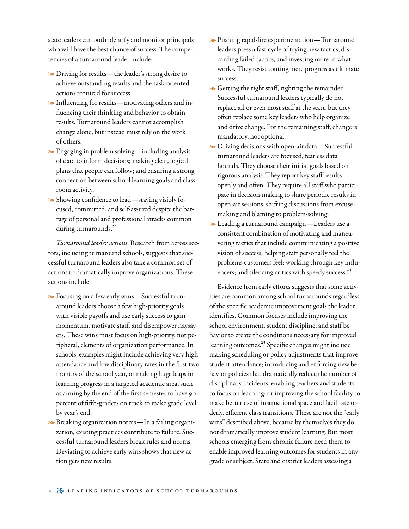state leaders can both identify and monitor principals who will have the best chance of success. The competencies of a turnaround leader include:

- Driving for results the leader's strong desire to achieve outstanding results and the task-oriented actions required for success.
- **B** Influencing for results motivating others and influencing their thinking and behavior to obtain results. Turnaround leaders cannot accomplish change alone, but instead must rely on the work of others.
- **So** Engaging in problem solving—including analysis of data to inform decisions; making clear, logical plans that people can follow; and ensuring a strong connection between school learning goals and classroom activity.
- So Showing confidence to lead staying visibly focused, committed, and self-assured despite the barrage of personal and professional attacks common during turnarounds.<sup>23</sup>

Turnaround leader actions. Research from across sectors, including turnaround schools, suggests that successful turnaround leaders also take a common set of actions to dramatically improve organizations. These actions include:

- **SC** Focusing on a few early wins Successful turnaround leaders choose a few high-priority goals with visible payoffs and use early success to gain momentum, motivate staff, and disempower naysayers. These wins must focus on high-priority, not peripheral, elements of organization performance. In schools, examples might include achieving very high attendance and low disciplinary rates in the first two months of the school year, or making huge leaps in learning progress in a targeted academic area, such as aiming by the end of the first semester to have 90 percent of fifth-graders on track to make grade level by year's end.
- **Breaking organization norms** In a failing organization, existing practices contribute to failure. Successful turnaround leaders break rules and norms. Deviating to achieve early wins shows that new action gets new results.
- **Bo** Pushing rapid-fire experimentation-Turnaround leaders press a fast cycle of trying new tactics, discarding failed tactics, and investing more in what works. They resist touting mere progress as ultimate success.
- **So** Getting the right staff, righting the remainder-Successful turnaround leaders typically do not replace all or even most staff at the start, but they often replace some key leaders who help organize and drive change. For the remaining staff, change is mandatory, not optional.
- **So** Driving decisions with open-air data-Successful turnaround leaders are focused, fearless data hounds. They choose their initial goals based on rigorous analysis. They report key staff results openly and often. They require all staff who participate in decision-making to share periodic results in open-air sessions, shifting discussions from excusemaking and blaming to problem-solving.
- Leading a turnaround campaign Leaders use a consistent combination of motivating and maneuvering tactics that include communicating a positive vision of success; helping staff personally feel the problems customers feel; working through key influencers; and silencing critics with speedy success.<sup>24</sup>

Evidence from early efforts suggests that some activities are common among school turnarounds regardless of the specific academic improvement goals the leader identifies. Common focuses include improving the school environment, student discipline, and staff behavior to create the conditions necessary for improved learning outcomes.25 Specific changes might include making scheduling or policy adjustments that improve student attendance; introducing and enforcing new behavior policies that dramatically reduce the number of disciplinary incidents, enabling teachers and students to focus on learning; or improving the school facility to make better use of instructional space and facilitate orderly, efficient class transitions. These are not the "early wins" described above, because by themselves they do not dramatically improve student learning. But most schools emerging from chronic failure need them to enable improved learning outcomes for students in any grade or subject. State and district leaders assessing a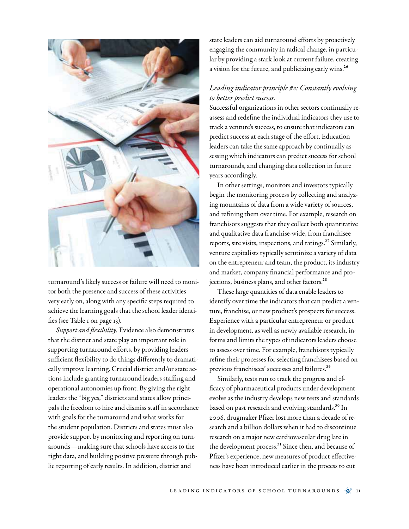

turnaround's likely success or failure will need to monitor both the presence and success of these activities very early on, along with any specific steps required to achieve the learning goals that the school leader identifies (see Table 1 on page 13).

Support and flexibility. Evidence also demonstrates that the district and state play an important role in supporting turnaround efforts, by providing leaders sufficient flexibility to do things differently to dramatically improve learning. Crucial district and/or state actions include granting turnaround leaders staffing and operational autonomies up front. By giving the right leaders the "big yes," districts and states allow principals the freedom to hire and dismiss staff in accordance with goals for the turnaround and what works for the student population. Districts and states must also provide support by monitoring and reporting on turnarounds — making sure that schools have access to the right data, and building positive pressure through public reporting of early results. In addition, district and

state leaders can aid turnaround efforts by proactively engaging the community in radical change, in particular by providing a stark look at current failure, creating a vision for the future, and publicizing early wins.<sup>26</sup>

#### Leading indicator principle #2: Constantly evolving to better predict success.

Successful organizations in other sectors continually reassess and redefine the individual indicators they use to track a venture's success, to ensure that indicators can predict success at each stage of the effort. Education leaders can take the same approach by continually assessing which indicators can predict success for school turnarounds, and changing data collection in future years accordingly.

In other settings, monitors and investors typically begin the monitoring process by collecting and analyzing mountains of data from a wide variety of sources, and refining them over time. For example, research on franchisors suggests that they collect both quantitative and qualitative data franchise-wide, from franchisee reports, site visits, inspections, and ratings. $27$  Similarly, venture capitalists typically scrutinize a variety of data on the entrepreneur and team, the product, its industry and market, company financial performance and projections, business plans, and other factors.<sup>28</sup>

These large quantities of data enable leaders to identify over time the indicators that can predict a venture, franchise, or new product's prospects for success. Experience with a particular entrepreneur or product in development, as well as newly available research, informs and limits the types of indicators leaders choose to assess over time. For example, franchisors typically refine their processes for selecting franchisees based on previous franchisees' successes and failures.29

Similarly, tests run to track the progress and efficacy of pharmaceutical products under development evolve as the industry develops new tests and standards based on past research and evolving standards.<sup>30</sup> In 2006, drugmaker Pfizer lost more than a decade of research and a billion dollars when it had to discontinue research on a major new cardiovascular drug late in the development process.<sup>31</sup> Since then, and because of Pfizer's experience, new measures of product effectiveness have been introduced earlier in the process to cut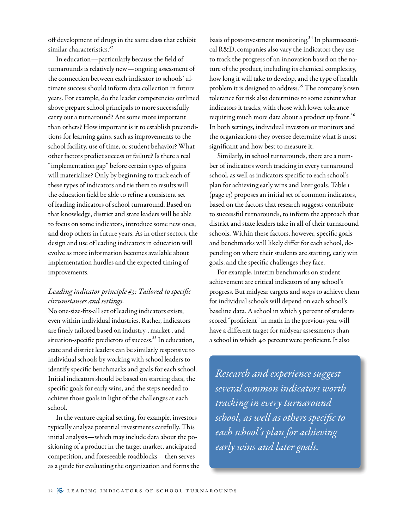off development of drugs in the same class that exhibit similar characteristics.<sup>32</sup>

In education — particularly because the field of turnarounds is relatively new — ongoing assessment of the connection between each indicator to schools' ultimate success should inform data collection in future years. For example, do the leader competencies outlined above prepare school principals to more successfully carry out a turnaround? Are some more important than others? How important is it to establish preconditions for learning gains, such as improvements to the school facility, use of time, or student behavior? What other factors predict success or failure? Is there a real "implementation gap" before certain types of gains will materialize? Only by beginning to track each of these types of indicators and tie them to results will the education field be able to refine a consistent set of leading indicators of school turnaround. Based on that knowledge, district and state leaders will be able to focus on some indicators, introduce some new ones, and drop others in future years. As in other sectors, the design and use of leading indicators in education will evolve as more information becomes available about implementation hurdles and the expected timing of improvements.

#### Leading indicator principle #3: Tailored to specific circumstances and settings.

No one-size-fits-all set of leading indicators exists, even within individual industries. Rather, indicators are finely tailored based on industry-, market-, and situation-specific predictors of success.<sup>33</sup> In education, state and district leaders can be similarly responsive to individual schools by working with school leaders to identify specific benchmarks and goals for each school. Initial indicators should be based on starting data, the specific goals for early wins, and the steps needed to achieve those goals in light of the challenges at each school.

In the venture capital setting, for example, investors typically analyze potential investments carefully. This initial analysis — which may include data about the positioning of a product in the target market, anticipated competition, and foreseeable roadblocks — then serves as a guide for evaluating the organization and forms the basis of post-investment monitoring.<sup>34</sup> In pharmaceutical R&D, companies also vary the indicators they use to track the progress of an innovation based on the nature of the product, including its chemical complexity, how long it will take to develop, and the type of health problem it is designed to address.<sup>35</sup> The company's own tolerance for risk also determines to some extent what indicators it tracks, with those with lower tolerance requiring much more data about a product up front.<sup>36</sup> In both settings, individual investors or monitors and the organizations they oversee determine what is most significant and how best to measure it.

Similarly, in school turnarounds, there are a number of indicators worth tracking in every turnaround school, as well as indicators specific to each school's plan for achieving early wins and later goals. Table 1 (page 13) proposes an initial set of common indicators, based on the factors that research suggests contribute to successful turnarounds, to inform the approach that district and state leaders take in all of their turnaround schools. Within these factors, however, specific goals and benchmarks will likely differ for each school, depending on where their students are starting, early win goals, and the specific challenges they face.

For example, interim benchmarks on student achievement are critical indicators of any school's progress. But midyear targets and steps to achieve them for individual schools will depend on each school's baseline data. A school in which 5 percent of students scored "proficient" in math in the previous year will have a different target for midyear assessments than a school in which 40 percent were proficient. It also

Research and experience suggest several common indicators worth tracking in every turnaround school, as well as others specific to each school's plan for achieving early wins and later goals.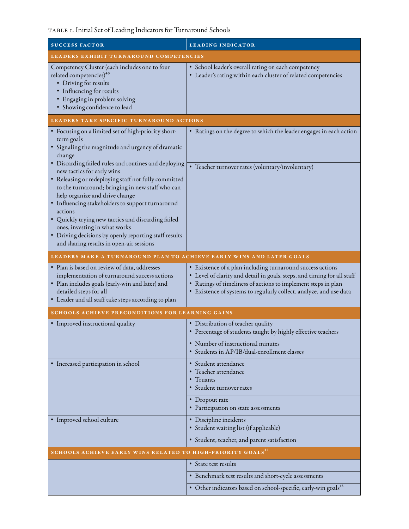# table 1. Initial Set of Leading Indicators for Turnaround Schools

| <b>SUCCESS FACTOR</b>                                                                                                                                                                                                                                                                                                                                                                                                                                                                       | <b>LEADING INDICATOR</b>                                                                                                                                                                                                                                                     |  |  |
|---------------------------------------------------------------------------------------------------------------------------------------------------------------------------------------------------------------------------------------------------------------------------------------------------------------------------------------------------------------------------------------------------------------------------------------------------------------------------------------------|------------------------------------------------------------------------------------------------------------------------------------------------------------------------------------------------------------------------------------------------------------------------------|--|--|
|                                                                                                                                                                                                                                                                                                                                                                                                                                                                                             |                                                                                                                                                                                                                                                                              |  |  |
| Competency Cluster (each includes one to four<br>related competencies) <sup>40</sup><br>• Driving for results<br>• Influencing for results<br>Engaging in problem solving<br>· Showing confidence to lead                                                                                                                                                                                                                                                                                   | • School leader's overall rating on each competency<br>• Leader's rating within each cluster of related competencies                                                                                                                                                         |  |  |
| <b>CTIONS</b><br>LEADERS TAKE SPECIFIC TURNA                                                                                                                                                                                                                                                                                                                                                                                                                                                |                                                                                                                                                                                                                                                                              |  |  |
| • Focusing on a limited set of high-priority short-<br>term goals<br>• Signaling the magnitude and urgency of dramatic<br>change                                                                                                                                                                                                                                                                                                                                                            | • Ratings on the degree to which the leader engages in each action                                                                                                                                                                                                           |  |  |
| • Discarding failed rules and routines and deploying<br>new tactics for early wins<br>• Releasing or redeploying staff not fully committed<br>to the turnaround; bringing in new staff who can<br>help organize and drive change<br>• Influencing stakeholders to support turnaround<br>actions<br>• Quickly trying new tactics and discarding failed<br>ones, investing in what works<br>• Driving decisions by openly reporting staff results<br>and sharing results in open-air sessions | • Teacher turnover rates (voluntary/involuntary)                                                                                                                                                                                                                             |  |  |
| LEADERS MAKE A TURNAROUND PL.<br>WINS AND LATER GOALS                                                                                                                                                                                                                                                                                                                                                                                                                                       |                                                                                                                                                                                                                                                                              |  |  |
| • Plan is based on review of data, addresses<br>implementation of turnaround success actions<br>• Plan includes goals (early-win and later) and<br>detailed steps for all<br>• Leader and all staff take steps according to plan                                                                                                                                                                                                                                                            | • Existence of a plan including turnaround success actions<br>• Level of clarity and detail in goals, steps, and timing for all staff<br>• Ratings of timeliness of actions to implement steps in plan<br>• Existence of systems to regularly collect, analyze, and use data |  |  |
| <b>PRECONDITIONS FOR LEARNING GAINS</b>                                                                                                                                                                                                                                                                                                                                                                                                                                                     |                                                                                                                                                                                                                                                                              |  |  |
| • Improved instructional quality                                                                                                                                                                                                                                                                                                                                                                                                                                                            | • Distribution of teacher quality<br>• Percentage of students taught by highly effective teachers                                                                                                                                                                            |  |  |
|                                                                                                                                                                                                                                                                                                                                                                                                                                                                                             | Number of instructional minutes<br>$\bullet$<br>Students in AP/IB/dual-enrollment classes                                                                                                                                                                                    |  |  |
| • Increased participation in school                                                                                                                                                                                                                                                                                                                                                                                                                                                         | • Student attendance<br>Teacher attendance<br>Truants<br>Student turnover rates                                                                                                                                                                                              |  |  |
|                                                                                                                                                                                                                                                                                                                                                                                                                                                                                             | • Dropout rate<br>• Participation on state assessments                                                                                                                                                                                                                       |  |  |
| • Improved school culture                                                                                                                                                                                                                                                                                                                                                                                                                                                                   | • Discipline incidents<br>• Student waiting list (if applicable)                                                                                                                                                                                                             |  |  |
|                                                                                                                                                                                                                                                                                                                                                                                                                                                                                             | • Student, teacher, and parent satisfaction                                                                                                                                                                                                                                  |  |  |
| SCHOOLS ACHIEVE EARLY WINS RELATED TO HIGH-PRIORITY GOALS <sup>41</sup>                                                                                                                                                                                                                                                                                                                                                                                                                     |                                                                                                                                                                                                                                                                              |  |  |
|                                                                                                                                                                                                                                                                                                                                                                                                                                                                                             | • State test results                                                                                                                                                                                                                                                         |  |  |
|                                                                                                                                                                                                                                                                                                                                                                                                                                                                                             | • Benchmark test results and short-cycle assessments                                                                                                                                                                                                                         |  |  |
|                                                                                                                                                                                                                                                                                                                                                                                                                                                                                             | • Other indicators based on school-specific, early-win goals <sup>42</sup>                                                                                                                                                                                                   |  |  |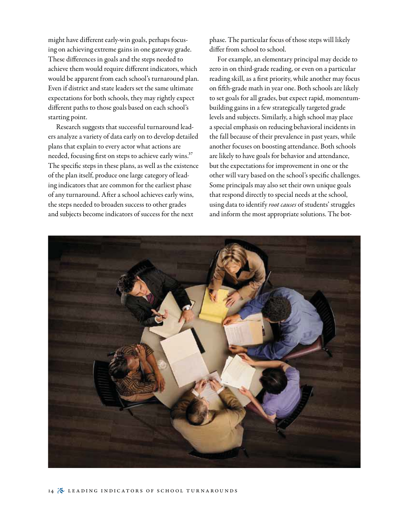might have different early-win goals, perhaps focusing on achieving extreme gains in one gateway grade. These differences in goals and the steps needed to achieve them would require different indicators, which would be apparent from each school's turnaround plan. Even if district and state leaders set the same ultimate expectations for both schools, they may rightly expect different paths to those goals based on each school's starting point.

Research suggests that successful turnaround leaders analyze a variety of data early on to develop detailed plans that explain to every actor what actions are needed, focusing first on steps to achieve early wins.<sup>37</sup> The specific steps in these plans, as well as the existence of the plan itself, produce one large category of leading indicators that are common for the earliest phase of any turnaround. After a school achieves early wins, the steps needed to broaden success to other grades and subjects become indicators of success for the next

phase. The particular focus of those steps will likely differ from school to school.

For example, an elementary principal may decide to zero in on third-grade reading, or even on a particular reading skill, as a first priority, while another may focus on fifth-grade math in year one. Both schools are likely to set goals for all grades, but expect rapid, momentumbuilding gains in a few strategically targeted grade levels and subjects. Similarly, a high school may place a special emphasis on reducing behavioral incidents in the fall because of their prevalence in past years, while another focuses on boosting attendance. Both schools are likely to have goals for behavior and attendance, but the expectations for improvement in one or the other will vary based on the school's specific challenges. Some principals may also set their own unique goals that respond directly to special needs at the school, using data to identify root causes of students' struggles and inform the most appropriate solutions. The bot-

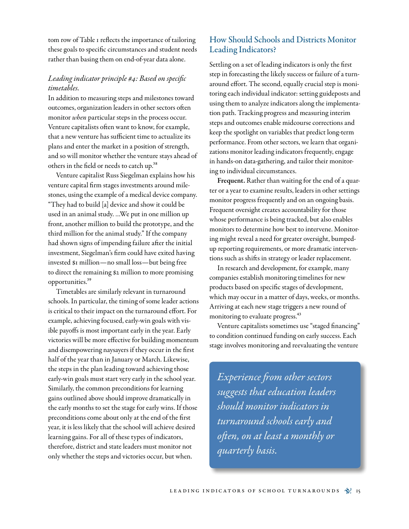tom row of Table 1 reflects the importance of tailoring these goals to specific circumstances and student needs rather than basing them on end-of-year data alone.

### Leading indicator principle #4: Based on specific timetables.

In addition to measuring steps and milestones toward outcomes, organization leaders in other sectors often monitor when particular steps in the process occur. Venture capitalists often want to know, for example, that a new venture has sufficient time to actualize its plans and enter the market in a position of strength, and so will monitor whether the venture stays ahead of others in the field or needs to catch up.<sup>38</sup>

Venture capitalist Russ Siegelman explains how his venture capital firm stages investments around milestones, using the example of a medical device company. "They had to build [a] device and show it could be used in an animal study. …We put in one million up front, another million to build the prototype, and the third million for the animal study." If the company had shown signs of impending failure after the initial investment, Siegelman's firm could have exited having invested \$1 million — no small loss — but being free to direct the remaining \$2 million to more promising opportunities.39

Timetables are similarly relevant in turnaround schools. In particular, the timing of some leader actions is critical to their impact on the turnaround effort. For example, achieving focused, early-win goals with visible payoffs is most important early in the year. Early victories will be more effective for building momentum and disempowering naysayers if they occur in the first half of the year than in January or March. Likewise, the steps in the plan leading toward achieving those early-win goals must start very early in the school year. Similarly, the common preconditions for learning gains outlined above should improve dramatically in the early months to set the stage for early wins. If those preconditions come about only at the end of the first year, it is less likely that the school will achieve desired learning gains. For all of these types of indicators, therefore, district and state leaders must monitor not only whether the steps and victories occur, but when.

# How Should Schools and Districts Monitor Leading Indicators?

Settling on a set of leading indicators is only the first step in forecasting the likely success or failure of a turnaround effort. The second, equally crucial step is monitoring each individual indicator: setting guideposts and using them to analyze indicators along the implementation path. Tracking progress and measuring interim steps and outcomes enable midcourse corrections and keep the spotlight on variables that predict long-term performance. From other sectors, we learn that organizations monitor leading indicators frequently, engage in hands-on data-gathering, and tailor their monitoring to individual circumstances.

**Frequent.** Rather than waiting for the end of a quarter or a year to examine results, leaders in other settings monitor progress frequently and on an ongoing basis. Frequent oversight creates accountability for those whose performance is being tracked, but also enables monitors to determine how best to intervene. Monitoring might reveal a need for greater oversight, bumpedup reporting requirements, or more dramatic interventions such as shifts in strategy or leader replacement.

In research and development, for example, many companies establish monitoring timelines for new products based on specific stages of development, which may occur in a matter of days, weeks, or months. Arriving at each new stage triggers a new round of monitoring to evaluate progress.<sup>43</sup>

Venture capitalists sometimes use "staged financing" to condition continued funding on early success. Each stage involves monitoring and reevaluating the venture

Experience from other sectors suggests that education leaders should monitor indicators in turnaround schools early and often, on at least a monthly or quarterly basis.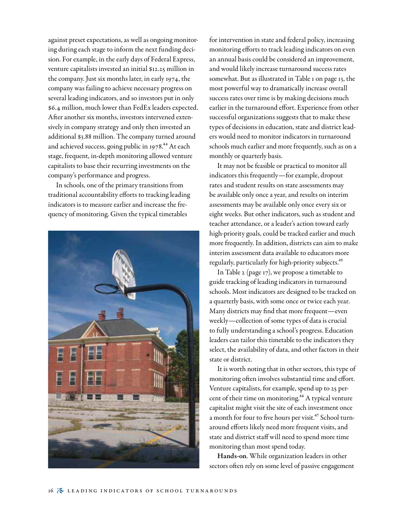against preset expectations, as well as ongoing monitoring during each stage to inform the next funding decision. For example, in the early days of Federal Express, venture capitalists invested an initial \$12.25 million in the company. Just six months later, in early 1974, the company was failing to achieve necessary progress on several leading indicators, and so investors put in only \$6.4 million, much lower than FedEx leaders expected. After another six months, investors intervened extensively in company strategy and only then invested an additional \$3.88 million. The company turned around and achieved success, going public in  $1978.^{44}$  At each stage, frequent, in-depth monitoring allowed venture capitalists to base their recurring investments on the company's performance and progress.

In schools, one of the primary transitions from traditional accountability efforts to tracking leading indicators is to measure earlier and increase the frequency of monitoring. Given the typical timetables



for intervention in state and federal policy, increasing monitoring efforts to track leading indicators on even an annual basis could be considered an improvement, and would likely increase turnaround success rates somewhat. But as illustrated in Table 1 on page 13, the most powerful way to dramatically increase overall success rates over time is by making decisions much earlier in the turnaround effort. Experience from other successful organizations suggests that to make these types of decisions in education, state and district leaders would need to monitor indicators in turnaround schools much earlier and more frequently, such as on a monthly or quarterly basis.

It may not be feasible or practical to monitor all indicators this frequently — for example, dropout rates and student results on state assessments may be available only once a year, and results on interim assessments may be available only once every six or eight weeks. But other indicators, such as student and teacher attendance, or a leader's action toward early high-priority goals, could be tracked earlier and much more frequently. In addition, districts can aim to make interim assessment data available to educators more regularly, particularly for high-priority subjects.<sup>45</sup>

In Table 2 (page 17), we propose a timetable to guide tracking of leading indicators in turnaround schools. Most indicators are designed to be tracked on a quarterly basis, with some once or twice each year. Many districts may find that more frequent — even weekly — collection of some types of data is crucial to fully understanding a school's progress. Education leaders can tailor this timetable to the indicators they select, the availability of data, and other factors in their state or district.

It is worth noting that in other sectors, this type of monitoring often involves substantial time and effort. Venture capitalists, for example, spend up to 25 percent of their time on monitoring.<sup>46</sup> A typical venture capitalist might visit the site of each investment once a month for four to five hours per visit.<sup>47</sup> School turnaround efforts likely need more frequent visits, and state and district staff will need to spend more time monitoring than most spend today.

**Hands-on**. While organization leaders in other sectors often rely on some level of passive engagement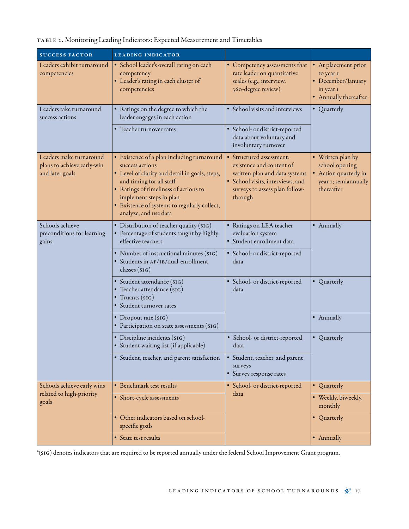| <b>SUCCESS FACTOR</b>                                                    | <b>LEADING INDICATOR</b>                                                                                                                                                                                                                                                                 |                                                                                                                                                                        |                                                                                                    |
|--------------------------------------------------------------------------|------------------------------------------------------------------------------------------------------------------------------------------------------------------------------------------------------------------------------------------------------------------------------------------|------------------------------------------------------------------------------------------------------------------------------------------------------------------------|----------------------------------------------------------------------------------------------------|
| Leaders exhibit turnaround<br>competencies                               | • School leader's overall rating on each<br>competency<br>• Leader's rating in each cluster of<br>competencies                                                                                                                                                                           | • Competency assessments that<br>rate leader on quantitative<br>scales (e.g., interview,<br>360-degree review)                                                         | • At placement prior<br>to year I<br>• December/January<br>in year 1<br>• Annually thereafter      |
| Leaders take turnaround<br>success actions                               | • Ratings on the degree to which the<br>leader engages in each action                                                                                                                                                                                                                    | • School visits and interviews                                                                                                                                         | • Quarterly                                                                                        |
|                                                                          | • Teacher turnover rates                                                                                                                                                                                                                                                                 | · School- or district-reported<br>data about voluntary and<br>involuntary turnover                                                                                     |                                                                                                    |
| Leaders make turnaround<br>plans to achieve early-win<br>and later goals | • Existence of a plan including turnaround<br>success actions<br>• Level of clarity and detail in goals, steps,<br>and timing for all staff<br>• Ratings of timeliness of actions to<br>implement steps in plan<br>• Existence of systems to regularly collect,<br>analyze, and use data | • Structured assessment:<br>existence and content of<br>written plan and data systems<br>· School visits, interviews, and<br>surveys to assess plan follow-<br>through | • Written plan by<br>school opening<br>• Action quarterly in<br>year 1; semiannually<br>thereafter |
| Schools achieve<br>preconditions for learning<br>gains                   | • Distribution of teacher quality (SIG)<br>• Percentage of students taught by highly<br>effective teachers                                                                                                                                                                               | • Ratings on LEA teacher<br>evaluation system<br>· Student enrollment data                                                                                             | • Annually                                                                                         |
|                                                                          | • Number of instructional minutes (SIG)<br>• Students in AP/IB/dual-enrollment<br>classes (SIG)                                                                                                                                                                                          | • School- or district-reported<br>data                                                                                                                                 |                                                                                                    |
|                                                                          | • Student attendance (SIG)<br>• Teacher attendance (SIG)<br>• Truants $(sIG)$<br>• Student turnover rates                                                                                                                                                                                | • School- or district-reported<br>data                                                                                                                                 | • Quarterly                                                                                        |
|                                                                          | • Dropout rate (SIG)<br>• Participation on state assessments (SIG)                                                                                                                                                                                                                       |                                                                                                                                                                        | • Annually                                                                                         |
|                                                                          | • Discipline incidents (SIG)<br>• Student waiting list (if applicable)                                                                                                                                                                                                                   | • School- or district-reported<br>data                                                                                                                                 | • Quarterly                                                                                        |
|                                                                          | • Student, teacher, and parent satisfaction                                                                                                                                                                                                                                              | • Student, teacher, and parent<br>surveys<br>• Survey response rates                                                                                                   |                                                                                                    |
| Schools achieve early wins<br>related to high-priority<br>goals          | · Benchmark test results                                                                                                                                                                                                                                                                 | · School- or district-reported                                                                                                                                         | • Quarterly                                                                                        |
|                                                                          | • Short-cycle assessments                                                                                                                                                                                                                                                                | data                                                                                                                                                                   | • Weekly, biweekly,<br>monthly                                                                     |
|                                                                          | · Other indicators based on school-<br>specific goals                                                                                                                                                                                                                                    |                                                                                                                                                                        | • Quarterly                                                                                        |
|                                                                          | • State test results                                                                                                                                                                                                                                                                     |                                                                                                                                                                        | • Annually                                                                                         |

#### table 2. Monitoring Leading Indicators: Expected Measurement and Timetables

\*(SIG) denotes indicators that are required to be reported annually under the federal School Improvement Grant program.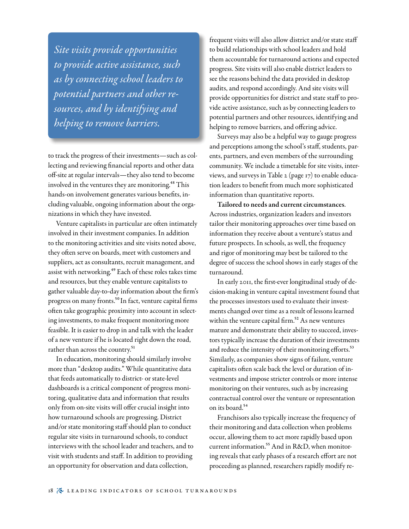Site visits provide opportunities to provide active assistance, such as by connecting school leaders to potential partners and other resources, and by identifying and helping to remove barriers.

to track the progress of their investments — such as collecting and reviewing financial reports and other data off-site at regular intervals — they also tend to become involved in the ventures they are monitoring.<sup>48</sup> This hands-on involvement generates various benefits, including valuable, ongoing information about the organizations in which they have invested.

Venture capitalists in particular are often intimately involved in their investment companies. In addition to the monitoring activities and site visits noted above, they often serve on boards, meet with customers and suppliers, act as consultants, recruit management, and assist with networking.49 Each of these roles takes time and resources, but they enable venture capitalists to gather valuable day-to-day information about the firm's progress on many fronts.<sup>50</sup> In fact, venture capital firms often take geographic proximity into account in selecting investments, to make frequent monitoring more feasible. It is easier to drop in and talk with the leader of a new venture if he is located right down the road, rather than across the country.<sup>51</sup>

In education, monitoring should similarly involve more than "desktop audits." While quantitative data that feeds automatically to district- or state-level dashboards is a critical component of progress monitoring, qualitative data and information that results only from on-site visits will offer crucial insight into how turnaround schools are progressing. District and/or state monitoring staff should plan to conduct regular site visits in turnaround schools, to conduct interviews with the school leader and teachers, and to visit with students and staff. In addition to providing an opportunity for observation and data collection,

frequent visits will also allow district and/or state staff to build relationships with school leaders and hold them accountable for turnaround actions and expected progress. Site visits will also enable district leaders to see the reasons behind the data provided in desktop audits, and respond accordingly. And site visits will provide opportunities for district and state staff to provide active assistance, such as by connecting leaders to potential partners and other resources, identifying and helping to remove barriers, and offering advice.

Surveys may also be a helpful way to gauge progress and perceptions among the school's staff, students, parents, partners, and even members of the surrounding community. We include a timetable for site visits, interviews, and surveys in Table 2 (page 17) to enable education leaders to benefit from much more sophisticated information than quantitative reports.

**Tailored to needs and current circumstances**. Across industries, organization leaders and investors tailor their monitoring approaches over time based on information they receive about a venture's status and future prospects. In schools, as well, the frequency and rigor of monitoring may best be tailored to the degree of success the school shows in early stages of the turnaround.

In early 2011, the first-ever longitudinal study of decision-making in venture capital investment found that the processes investors used to evaluate their investments changed over time as a result of lessons learned within the venture capital firm.<sup>52</sup> As new ventures mature and demonstrate their ability to succeed, investors typically increase the duration of their investments and reduce the intensity of their monitoring efforts.<sup>53</sup> Similarly, as companies show signs of failure, venture capitalists often scale back the level or duration of investments and impose stricter controls or more intense monitoring on their ventures, such as by increasing contractual control over the venture or representation on its board.54

Franchisors also typically increase the frequency of their monitoring and data collection when problems occur, allowing them to act more rapidly based upon current information.<sup>55</sup> And in R&D, when monitoring reveals that early phases of a research effort are not proceeding as planned, researchers rapidly modify re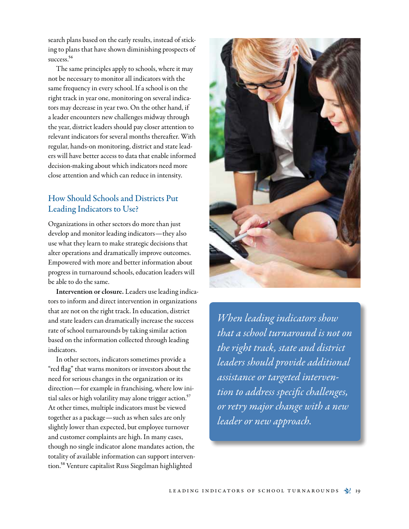search plans based on the early results, instead of sticking to plans that have shown diminishing prospects of success.<sup>56</sup>

The same principles apply to schools, where it may not be necessary to monitor all indicators with the same frequency in every school. If a school is on the right track in year one, monitoring on several indicators may decrease in year two. On the other hand, if a leader encounters new challenges midway through the year, district leaders should pay closer attention to relevant indicators for several months thereafter. With regular, hands-on monitoring, district and state leaders will have better access to data that enable informed decision-making about which indicators need more close attention and which can reduce in intensity.

# How Should Schools and Districts Put Leading Indicators to Use?

Organizations in other sectors do more than just develop and monitor leading indicators — they also use what they learn to make strategic decisions that alter operations and dramatically improve outcomes. Empowered with more and better information about progress in turnaround schools, education leaders will be able to do the same.

**Intervention or closure.** Leaders use leading indicators to inform and direct intervention in organizations that are not on the right track. In education, district and state leaders can dramatically increase the success rate of school turnarounds by taking similar action based on the information collected through leading indicators.

In other sectors, indicators sometimes provide a "red flag" that warns monitors or investors about the need for serious changes in the organization or its direction — for example in franchising, where low initial sales or high volatility may alone trigger action.<sup>57</sup> At other times, multiple indicators must be viewed together as a package — such as when sales are only slightly lower than expected, but employee turnover and customer complaints are high. In many cases, though no single indicator alone mandates action, the totality of available information can support intervention.58 Venture capitalist Russ Siegelman highlighted



When leading indicators show that a school turnaround is not on the right track, state and district leaders should provide additional assistance or targeted intervention to address specific challenges, or retry major change with a new leader or new approach.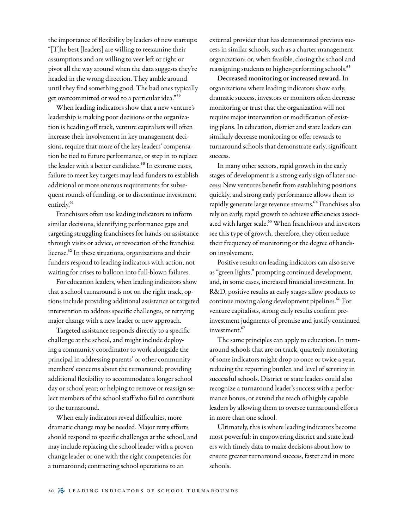the importance of flexibility by leaders of new startups: "[T]he best [leaders] are willing to reexamine their assumptions and are willing to veer left or right or pivot all the way around when the data suggests they're headed in the wrong direction. They amble around until they find something good. The bad ones typically get overcommitted or wed to a particular idea."59

When leading indicators show that a new venture's leadership is making poor decisions or the organization is heading off track, venture capitalists will often increase their involvement in key management decisions, require that more of the key leaders' compensation be tied to future performance, or step in to replace the leader with a better candidate.<sup>60</sup> In extreme cases, failure to meet key targets may lead funders to establish additional or more onerous requirements for subsequent rounds of funding, or to discontinue investment entirely.<sup>61</sup>

Franchisors often use leading indicators to inform similar decisions, identifying performance gaps and targeting struggling franchisees for hands-on assistance through visits or advice, or revocation of the franchise license.<sup>62</sup> In these situations, organizations and their funders respond to leading indicators with action, not waiting for crises to balloon into full-blown failures.

For education leaders, when leading indicators show that a school turnaround is not on the right track, options include providing additional assistance or targeted intervention to address specific challenges, or retrying major change with a new leader or new approach.

Targeted assistance responds directly to a specific challenge at the school, and might include deploying a community coordinator to work alongside the principal in addressing parents' or other community members' concerns about the turnaround; providing additional flexibility to accommodate a longer school day or school year; or helping to remove or reassign select members of the school staff who fail to contribute to the turnaround.

When early indicators reveal difficulties, more dramatic change may be needed. Major retry efforts should respond to specific challenges at the school, and may include replacing the school leader with a proven change leader or one with the right competencies for a turnaround; contracting school operations to an

external provider that has demonstrated previous success in similar schools, such as a charter management organization; or, when feasible, closing the school and reassigning students to higher-performing schools.<sup>63</sup>

**Decreased monitoring or increased reward.** In organizations where leading indicators show early, dramatic success, investors or monitors often decrease monitoring or trust that the organization will not require major intervention or modification of existing plans. In education, district and state leaders can similarly decrease monitoring or offer rewards to turnaround schools that demonstrate early, significant success.

In many other sectors, rapid growth in the early stages of development is a strong early sign of later success: New ventures benefit from establishing positions quickly, and strong early performance allows them to rapidly generate large revenue streams.<sup>64</sup> Franchises also rely on early, rapid growth to achieve efficiencies associated with larger scale.<sup>65</sup> When franchisors and investors see this type of growth, therefore, they often reduce their frequency of monitoring or the degree of handson involvement.

Positive results on leading indicators can also serve as "green lights," prompting continued development, and, in some cases, increased financial investment. In R&D, positive results at early stages allow products to continue moving along development pipelines.<sup>66</sup> For venture capitalists, strong early results confirm preinvestment judgments of promise and justify continued investment.<sup>67</sup>

The same principles can apply to education. In turnaround schools that are on track, quarterly monitoring of some indicators might drop to once or twice a year, reducing the reporting burden and level of scrutiny in successful schools. District or state leaders could also recognize a turnaround leader's success with a performance bonus, or extend the reach of highly capable leaders by allowing them to oversee turnaround efforts in more than one school.

Ultimately, this is where leading indicators become most powerful: in empowering district and state leaders with timely data to make decisions about how to ensure greater turnaround success, faster and in more schools.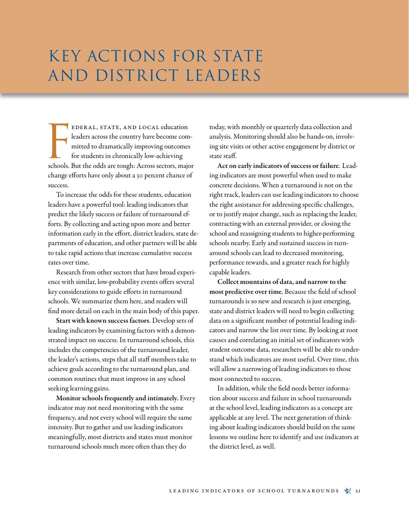# Key Actions for State and District Leaders

 F EDERAL, STATE, AND LOCAL education leaders across the country have become committed to dramatically improving outcomes for students in chronically low-achieving schools. But the odds are tough: Across sectors, major change efforts have only about a 30 percent chance of success.

To increase the odds for these students, education leaders have a powerful tool: leading indicators that predict the likely success or failure of turnaround efforts. By collecting and acting upon more and better information early in the effort, district leaders, state departments of education, and other partners will be able to take rapid actions that increase cumulative success rates over time.

Research from other sectors that have broad experience with similar, low-probability events offers several key considerations to guide efforts in turnaround schools. We summarize them here, and readers will find more detail on each in the main body of this paper.

**Start with known success factors**. Develop sets of leading indicators by examining factors with a demonstrated impact on success. In turnaround schools, this includes the competencies of the turnaround leader, the leader's actions, steps that all staff members take to achieve goals according to the turnaround plan, and common routines that must improve in any school seeking learning gains.

**Monitor schools frequently and intimately.** Every indicator may not need monitoring with the same frequency, and not every school will require the same intensity. But to gather and use leading indicators meaningfully, most districts and states must monitor turnaround schools much more often than they do

today, with monthly or quarterly data collection and analysis. Monitoring should also be hands-on, involving site visits or other active engagement by district or state staff.

**Act on early indicators of success or failure**. Leading indicators are most powerful when used to make concrete decisions. When a turnaround is not on the right track, leaders can use leading indicators to choose the right assistance for addressing specific challenges, or to justify major change, such as replacing the leader, contracting with an external provider, or closing the school and reassigning students to higher-performing schools nearby. Early and sustained success in turnaround schools can lead to decreased monitoring, performance rewards, and a greater reach for highly capable leaders.

**Collect mountains of data, and narrow to the most predictive over time**. Because the field of school turnarounds is so new and research is just emerging, state and district leaders will need to begin collecting data on a significant number of potential leading indicators and narrow the list over time. By looking at root causes and correlating an initial set of indicators with student outcome data, researchers will be able to understand which indicators are most useful. Over time, this will allow a narrowing of leading indicators to those most connected to success.

In addition, while the field needs better information about success and failure in school turnarounds at the school level, leading indicators as a concept are applicable at any level. The next generation of thinking about leading indicators should build on the same lessons we outline here to identify and use indicators at the district level, as well.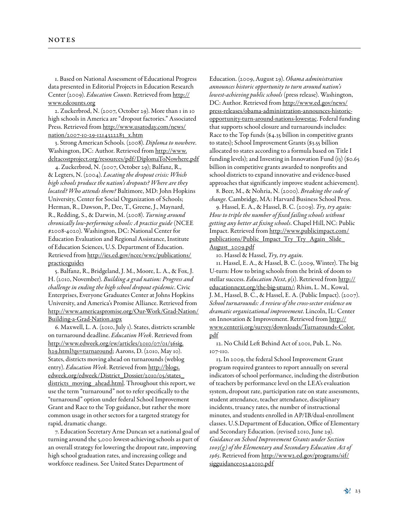1. Based on National Assessment of Educational Progress data presented in Editorial Projects in Education Research Center (2009). Education Counts. Retrieved from http:// www.edcounts.org

2. Zuckerbrod, N. (2007, October 29). More than 1 in 10 high schools in America are "dropout factories." Associated Press. Retrieved from http://www.usatoday.com/news/ nation/2007-10-29-1214322283\_x.htm

3. Strong American Schools. (2008). Diploma to nowhere. Washington, DC: Author. Retrieved from http://www. deltacostproject.org/resources/pdf/DiplomaToNowhere.pdf

4. Zuckerbrod, N. (2007, October 29); Balfanz, R., & Legters, N. (2004). Locating the dropout crisis: Which high schools produce the nation's dropouts? Where are they located? Who attends them? Baltimore, MD: John Hopkins University, Center for Social Organization of Schools; Herman, R., Dawson, P., Dee, T., Greene, J., Maynard, R., Redding, S., & Darwin, M. (2008). Turning around chronically low-performing schools: A practice guide (NCEE #2008-4020). Washington, DC: National Center for Education Evaluation and Regional Assistance, Institute of Education Sciences, U.S. Department of Education. Retrieved from http://ies.ed.gov/ncee/wwc/publications/ practiceguides

5. Balfanz, R., Bridgeland, J. M., Moore, L. A., & Fox, J. H. (2010, November). Building a grad nation: Progress and challenge in ending the high school dropout epidemic. Civic Enterprises, Everyone Graduates Center at Johns Hopkins University, and America's Promise Alliance. Retrieved from http://www.americaspromise.org/Our-Work/Grad-Nation/ Building-a-Grad-Nation.aspx

6. Maxwell, L. A. (2010, July 1). States, districts scramble on turnaround deadline. Education Week. Retrieved from http://www.edweek.org/ew/articles/2010/07/01/36sig. h29.html?qs=turnaround; Aarons, D. (2010, May 10). States, districts moving ahead on turnarounds (weblog entry). Education Week. Retrieved from http://blogs. edweek.org/edweek/District\_Dossier/2010/05/states\_ districts\_moving\_ahead.html. Throughout this report, we use the term "turnaround" not to refer specifically to the "turnaround" option under federal School Improvement Grant and Race to the Top guidance, but rather the more common usage in other sectors for a targeted strategy for rapid, dramatic change.

7. Education Secretary Arne Duncan set a national goal of turning around the 5,000 lowest-achieving schools as part of an overall strategy for lowering the dropout rate, improving high school graduation rates, and increasing college and workforce readiness. See United States Department of

Education. (2009, August 29). Obama administration announces historic opportunity to turn around nation's lowest-achieving public schools (press release). Washington, DC: Author. Retrieved from http://www.ed.gov/news/ press-releases/obama-administration-announces-historicopportunity-turn-around-nations-lowestac. Federal funding that supports school closure and turnarounds includes: Race to the Top funds (\$4.35 billion in competitive grants to states); School Improvement Grants (\$3.55 billion allocated to states according to a formula based on Title I funding levels); and Investing in Innovation Fund (i3) (\$0.65 billion in competitive grants awarded to nonprofits and school districts to expand innovative and evidence-based approaches that significantly improve student achievement).

8. Beer, M., & Nohria, N. (2000). Breaking the code of change. Cambridge, MA: Harvard Business School Press.

9. Hassel, E. A., & Hassel, B. C. (2009). Try, try again: How to triple the number of fixed failing schools without getting any better at fixing schools. Chapel Hill, NC: Public Impact. Retrieved from http://www.publicimpact.com/ publications/Public\_Impact\_Try\_Try\_Again\_Slide\_ August\_2009.pdf

10. Hassel & Hassel, Try, try again.

11. Hassel, E. A., & Hassel, B. C. (2009, Winter). The big U-turn: How to bring schools from the brink of doom to stellar success. Education Next,  $g(t)$ . Retrieved from http:// educationnext.org/the-big-uturn/; Rhim, L. M., Kowal, J. M., Hassel, B. C., & Hassel, E. A. (Public Impact). (2007). School turnarounds: A review of the cross-sector evidence on dramatic organizational improvement. Lincoln, IL: Center on Innovation & Improvement. Retrieved from http:// www.centerii.org/survey/downloads/Turnarounds-Color. pdf

12. No Child Left Behind Act of 2001, Pub. L. No. 107-110.

13. In 2009, the federal School Improvement Grant program required grantees to report annually on several indicators of school performance, including the distribution of teachers by performance level on the LEA's evaluation system, dropout rate, participation rate on state assessments, student attendance, teacher attendance, disciplinary incidents, truancy rates, the number of instructional minutes, and students enrolled in AP/IB/dual-enrollment classes. U.S.Department of Education, Office of Elementary and Secondary Education. (revised 2010, June 29). Guidance on School Improvement Grants under Section 1003(g) of the Elementary and Secondary Education Act of 1965. Retrieved from http://www2.ed.gov/programs/sif/ sigguidance05242010.pdf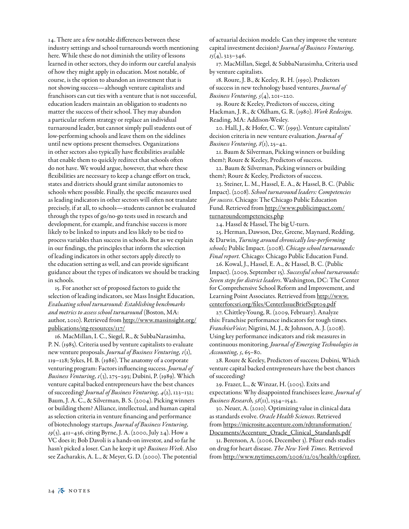14. There are a few notable differences between these industry settings and school turnarounds worth mentioning here. While these do not diminish the utility of lessons learned in other sectors, they do inform our careful analysis of how they might apply in education. Most notable, of course, is the option to abandon an investment that is not showing success — although venture capitalists and franchisors can cut ties with a venture that is not successful, education leaders maintain an obligation to students no matter the success of their school. They may abandon a particular reform strategy or replace an individual turnaround leader, but cannot simply pull students out of low-performing schools and leave them on the sidelines until new options present themselves. Organizations in other sectors also typically have flexibilities available that enable them to quickly redirect that schools often do not have. We would argue, however, that where these flexibilities are necessary to keep a change effort on track, states and districts should grant similar autonomies to schools where possible. Finally, the specific measures used as leading indicators in other sectors will often not translate precisely, if at all, to schools — students cannot be evaluated through the types of go/no-go tests used in research and development, for example, and franchise success is more likely to be linked to inputs and less likely to be tied to process variables than success in schools. But as we explain in our findings, the principles that inform the selection of leading indicators in other sectors apply directly to the education setting as well, and can provide significant guidance about the types of indicators we should be tracking in schools.

15. For another set of proposed factors to guide the selection of leading indicators, see Mass Insight Education, Evaluating school turnaround: Establishing benchmarks and metrics to assess school turnaround (Boston, MA: author, 2010). Retrieved from http://www.massinsight.org/ publications/stg-resources/117/

16. MacMillan, I. C., Siegel, R., & SubbaNarasimha, P. N. (1985). Criteria used by venture capitalists to evaluate new venture proposals. Journal of Business Venturing,  $I(1)$ , 119–128; Sykes, H. B. (1986). The anatomy of a corporate venturing program: Factors influencing success. Journal of Business Venturing,  $I(3)$ , 275–293; Dubini, P. (1989). Which venture capital backed entrepreneurs have the best chances of succeeding? Journal of Business Venturing, 4(2), 123–132; Baum, J. A. C., & Silverman, B. S. (2004). Picking winners or building them? Alliance, intellectual, and human capital as selection criteria in venture financing and performance of biotechnology startups. Journal of Business Venturing,  $19(3)$ , 411–436, citing Byrne, J. A. (2000, July 24). How a VC does it; Bob Davoli is a hands-on investor, and so far he hasn't picked a loser. Can he keep it up? Business Week. Also see Zacharakis, A. L., & Meyer, G. D. (2000). The potential

of actuarial decision models: Can they improve the venture capital investment decision? Journal of Business Venturing,  $I_5(4)$ , 323–346.

17. MacMillan, Siegel, & SubbaNarasimha, Criteria used by venture capitalists.

18. Roure, J. B., & Keeley, R. H. (1990). Predictors of success in new technology based ventures. Journal of Business Venturing,  $s(4)$ , 201–220.

19. Roure & Keeley, Predictors of success, citing Hackman, J. R., & Oldham, G. R. (1980). Work Redesign. Reading, MA: Addison-Wesley.

20. Hall, J., & Hofer, C. W. (1993). Venture capitalists' decision criteria in new venture evaluation. Journal of Business Venturing,  $8(1)$ , 25–42.

21. Baum & Silverman, Picking winners or building them?; Roure & Keeley, Predictors of success.

22. Baum & Silverman, Picking winners or building them?; Roure & Keeley, Predictors of success.

23. Steiner, L. M., Hassel, E. A., & Hassel, B. C. (Public Impact). (2008). School turnaround leaders: Competencies for success. Chicago: The Chicago Public Education Fund. Retrieved from http://www.publicimpact.com/ turnaroundcompetencies.php

24. Hassel & Hassel, The big U-turn.

25. Herman, Dawson, Dee, Greene, Maynard, Redding, & Darwin, Turning around chronically low-performing schools; Public Impact. (2008). Chicago school turnarounds: Final report. Chicago: Chicago Public Education Fund.

26. Kowal, J., Hassel, E. A., & Hassel, B. C. (Public Impact). (2009, September 15). Successful school turnarounds: Seven steps for district leaders. Washington, DC: The Center for Comprehensive School Reform and Improvement, and Learning Point Associates. Retrieved from http://www. centerforcsri.org/files/CenterIssueBriefSept09.pdf

27. Chittley-Young, R. (2009, February). Analyze this: Franchise performance indicators for tough times. FranchiseVoice; Nigrini, M. J., & Johnson, A. J. (2008). Using key performance indicators and risk measures in continuous monitoring. Journal of Emerging Technologies in Accounting, 5, 65-80.

28. Roure & Keeley, Predictors of success; Dubini, Which venture capital backed entrepreneurs have the best chances of succeeding?

29. Frazer, L., & Winzar, H. (2005). Exits and expectations: Why disappointed franchisees leave. Journal of Business Research,  $58$ (11), 1534–1542.

30. Neuer, A. (2010). Optimizing value in clinical data as standards evolve. Oracle Health Sciences. Retrieved from https://microsite.accenture.com/rdtransformation/ Documents/Accenture\_Oracle\_Clinical\_Standards.pdf

31. Berenson, A. (2006, December 3). Pfizer ends studies on drug for heart disease. The New York Times. Retrieved from http://www.nytimes.com/2006/12/03/health/03pfizer.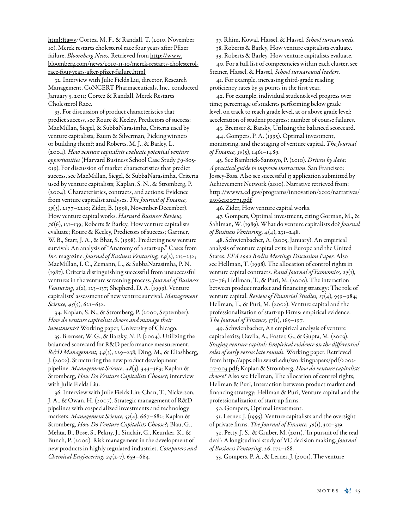html?fta=y; Cortez, M. F., & Randall, T. (2010, November 10). Merck restarts cholesterol race four years after Pfizer failure. Bloomberg News. Retrieved from http://www. bloomberg.com/news/2010-11-10/merck-restarts-cholesterolrace-four-years-after-pfizer-failure.html

32. Interview with Julie Fields Liu, director, Research Management, CoNCERT Pharmaceuticals, Inc., conducted January 5, 2011; Cortez & Randall, Merck Restarts Cholesterol Race.

33. For discussion of product characteristics that predict success, see Roure & Keeley, Predictors of success; MacMillan, Siegel, & SubbaNarasimha, Criteria used by venture capitalists; Baum & Silverman, Picking winners or building them?; and Roberts, M. J., & Barley, L. (2004). How venture capitalists evaluate potential venture opportunities (Harvard Business School Case Study #9-805- 019). For discussion of market characteristics that predict success, see MacMillan, Siegel, & SubbaNarasimha, Criteria used by venture capitalists; Kaplan, S. N., & Stromberg, P. (2004). Characteristics, contracts, and actions: Evidence from venture capitalist analyses. The Journal of Finance, 59(5), 2177–2210; Zider, B. (1998, November-December). How venture capital works. Harvard Business Review,  $76(6)$ , 131-139; Roberts & Barley, How venture capitalists evaluate; Roure & Keeley, Predictors of success; Gartner, W. B., Starr, J. A., & Bhat, S. (1998). Predicting new venture survival: An analysis of "Anatomy of a start-up." Cases from Inc. magazine. Journal of Business Venturing,  $I_4(2)$ ,  $2I_5-232$ ; MacMillan, I. C., Zemann, L., & SubbaNarasimha, P. N. (1987). Criteria distinguishing successful from unsuccessful ventures in the venture screening process. Journal of Business Venturing,  $2(2)$ , 123–137; Shepherd, D. A. (1999). Venture capitalists' assessment of new venture survival. Management Science,  $45(5)$ ,  $621-632$ .

34. Kaplan, S. N., & Stromberg, P. (2000, September). How do venture capitalists choose and manage their investments? Working paper, University of Chicago.

35. Bremser, W. G., & Barsky, N. P. (2004). Utilizing the balanced scorecard for R&D performance measurement.  $R\acute{e}rDManagement$ , 34(3), 229–238; Ding, M., & Eliashberg, J. (2002). Structuring the new product development pipeline. Management Science, 48(3), 343–363; Kaplan & Stromberg, How Do Venture Capitalists Choose?; interview with Julie Fields Liu.

36. Interview with Julie Fields Liu; Chan, T., Nickerson, J. A., & Owan, H. (2007). Strategic management of R&D pipelines with cospecialized investments and technology markets. Management Science, 53(4), 667–682; Kaplan & Stromberg, How Do Venture Capitalists Choose?; Blau, G., Mehta, B., Bose, S., Pekny, J., Sinclair, G., Keunker, K., & Bunch, P. (2000). Risk management in the development of new products in highly regulated industries. Computers and Chemical Engineering,  $24(2-7)$ , 659–664.

37. Rhim, Kowal, Hassel, & Hassel, School turnarounds. 38. Roberts & Barley, How venture capitalists evaluate. 39. Roberts & Barley, How venture capitalists evaluate. 40. For a full list of competencies within each cluster, see Steiner, Hassel, & Hassel, School turnaround leaders.

41. For example, increasing third-grade reading proficiency rates by 35 points in the first year.

42. For example, individual student-level progress over time; percentage of students performing below grade level, on track to reach grade level, at or above grade level; acceleration of student progress; number of course failures.

43. Bremser & Barsky, Utilizing the balanced scorecard. 44. Gompers, P. A. (1995). Optimal investment, monitoring, and the staging of venture capital. The Journal of Finance,  $50(5)$ ,  $1461 - 1489$ .

45. See Bambrick-Santoyo, P. (2010). Driven by data: A practical guide to improve instruction. San Francisco: Jossey-Bass. Also see successful i3 application submitted by Achievement Network (2010). Narrative retrieved from: http://www2.ed.gov/programs/innovation/2010/narratives/ u396c100771.pdf

46. Zider, How venture capital works.

47. Gompers, Optimal investment, citing Gorman, M., & Sahlman, W. (1989). What do venture capitalists do? Journal of Business Venturing,  $4(4)$ ,  $231-248$ .

48. Schwienbacher, A. (2005, January). An empirical analysis of venture capital exits in Europe and the United States. EFA 2002 Berlin Meetings Discussion Paper. Also see Hellman, T. (1998). The allocation of control rights in venture capital contracts. Rand Journal of Economics,  $29(1)$ ,  $57-76$ ; Hellman, T., & Puri, M. (2000). The interaction between product market and financing strategy: The role of venture capital. *Review of Financial Studies*,  $13(4)$ ,  $959-984$ ; Hellman, T., & Puri, M. (2002). Venture capital and the professionalization of start-up Firms: empirical evidence. The Journal of Finance,  $57(i)$ ,  $169-197$ .

49. Schwienbacher, An empirical analysis of venture capital exits; Davila, A., Foster, G., & Gupta, M. (2003). Staging venture capital: Empirical evidence on the differential roles of early versus late rounds. Working paper. Retrieved from http://apps.olin.wustl.edu/workingpapers/pdf/2003- 07-003.pdf; Kaplan & Stromberg, How do venture capitalists choose? Also see Hellman, The allocation of control rights; Hellman & Puri, Interaction between product market and financing strategy; Hellman & Puri, Venture capital and the professionalization of start-up firms.

50. Gompers, Optimal investment.

51. Lerner, J. (1995). Venture capitalists and the oversight of private firms. The Journal of Finance,  $50(1)$ ,  $301-319$ .

52. Petty, J. S., & Gruber, M. (2011). 'In pursuit of the real deal': A longitudinal study of VC decision making. Journal of Business Venturing, 26, 172–188.

53. Gompers, P. A., & Lerner, J. (2001). The venture